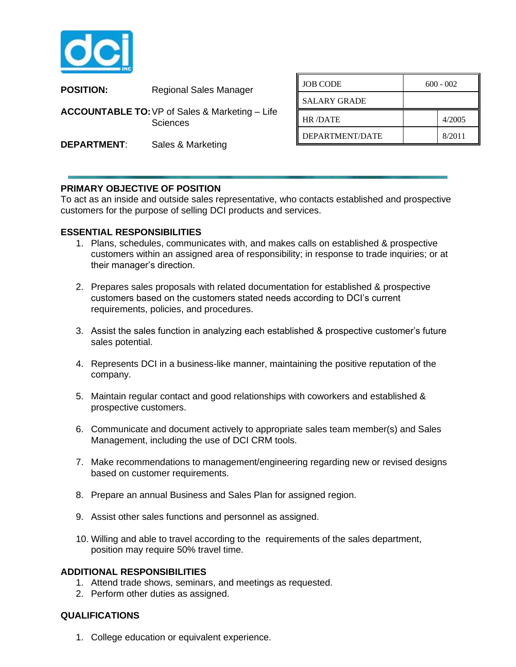

| <b>POSITION:</b>                                                      | <b>Regional Sales Manager</b> | <b>JOB CODE</b>     |
|-----------------------------------------------------------------------|-------------------------------|---------------------|
|                                                                       |                               | <b>SALARY GRADE</b> |
| <b>ACCOUNTABLE TO: VP of Sales &amp; Marketing - Life</b><br>Sciences |                               | HR/DATE             |
| <b>DEPARTMENT:</b>                                                    | Sales & Marketing             | DEPARTMENT/L        |
|                                                                       |                               |                     |

| <b>JOB CODE</b>     | $600 - 002$ |        |
|---------------------|-------------|--------|
| <b>SALARY GRADE</b> |             |        |
| <b>HR/DATE</b>      |             | 4/2005 |
| DEPARTMENT/DATE     |             | 8/2011 |

## **PRIMARY OBJECTIVE OF POSITION**

To act as an inside and outside sales representative, who contacts established and prospective customers for the purpose of selling DCI products and services.

## **ESSENTIAL RESPONSIBILITIES**

- 1. Plans, schedules, communicates with, and makes calls on established & prospective customers within an assigned area of responsibility; in response to trade inquiries; or at their manager's direction.
- 2. Prepares sales proposals with related documentation for established & prospective customers based on the customers stated needs according to DCI's current requirements, policies, and procedures.
- 3. Assist the sales function in analyzing each established & prospective customer's future sales potential.
- 4. Represents DCI in a business-like manner, maintaining the positive reputation of the company.
- 5. Maintain regular contact and good relationships with coworkers and established & prospective customers.
- 6. Communicate and document actively to appropriate sales team member(s) and Sales Management, including the use of DCI CRM tools.
- 7. Make recommendations to management/engineering regarding new or revised designs based on customer requirements.
- 8. Prepare an annual Business and Sales Plan for assigned region.
- 9. Assist other sales functions and personnel as assigned.
- 10. Willing and able to travel according to the requirements of the sales department, position may require 50% travel time.

## **ADDITIONAL RESPONSIBILITIES**

- 1. Attend trade shows, seminars, and meetings as requested.
- 2. Perform other duties as assigned.

## **QUALIFICATIONS**

1. College education or equivalent experience.